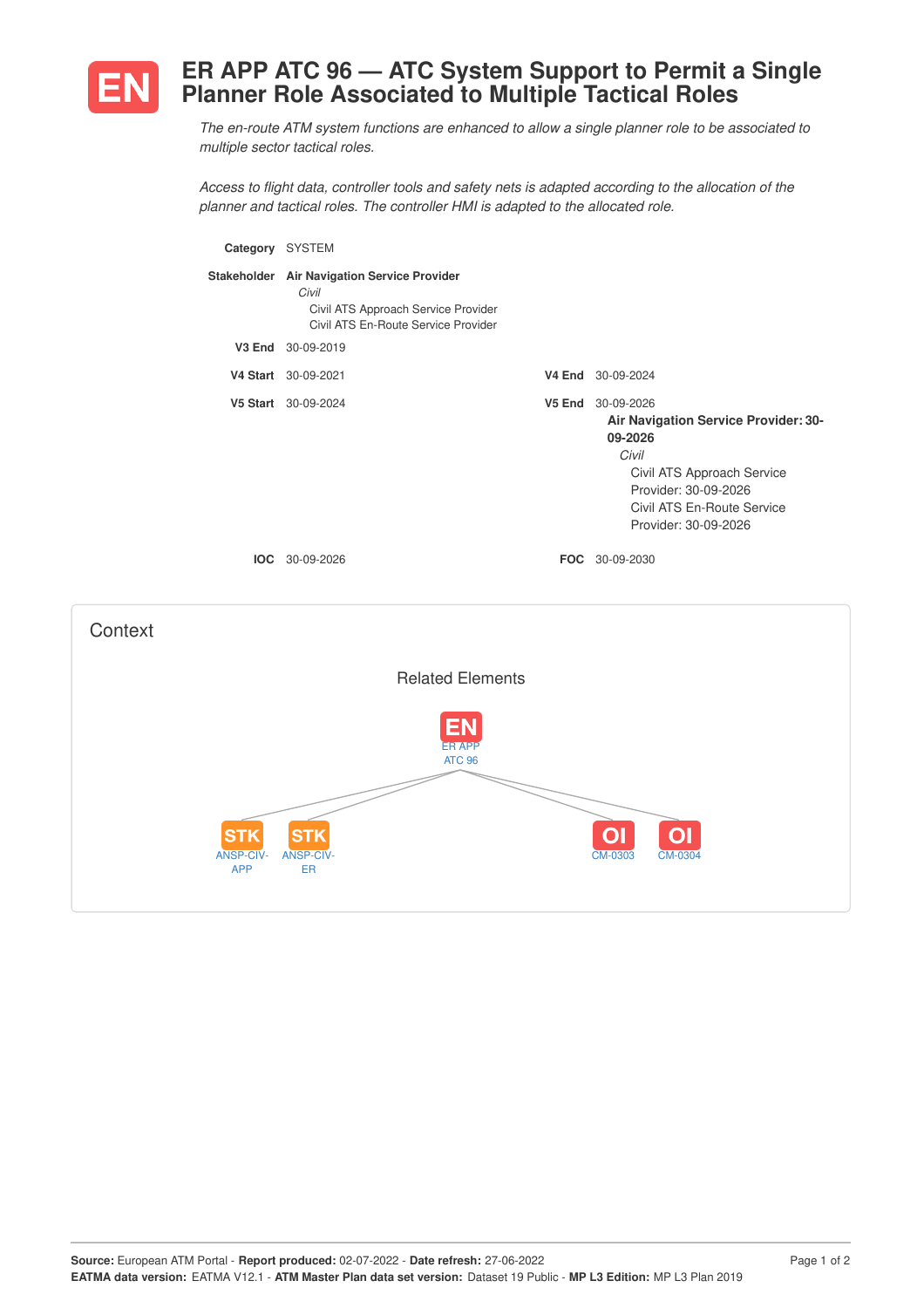

## **ER APP ATC 96 — ATC System Support to Permit a Single Planner Role Associated to Multiple Tactical Roles**

*The en-route ATM system functions are enhanced to allow a single planner role to be associated to multiple sector tactical roles.*

*Access to flight data, controller tools and safety nets is adapted according to the allocation of the planner and tactical roles. The controller HMI is adapted to the allocated role.*